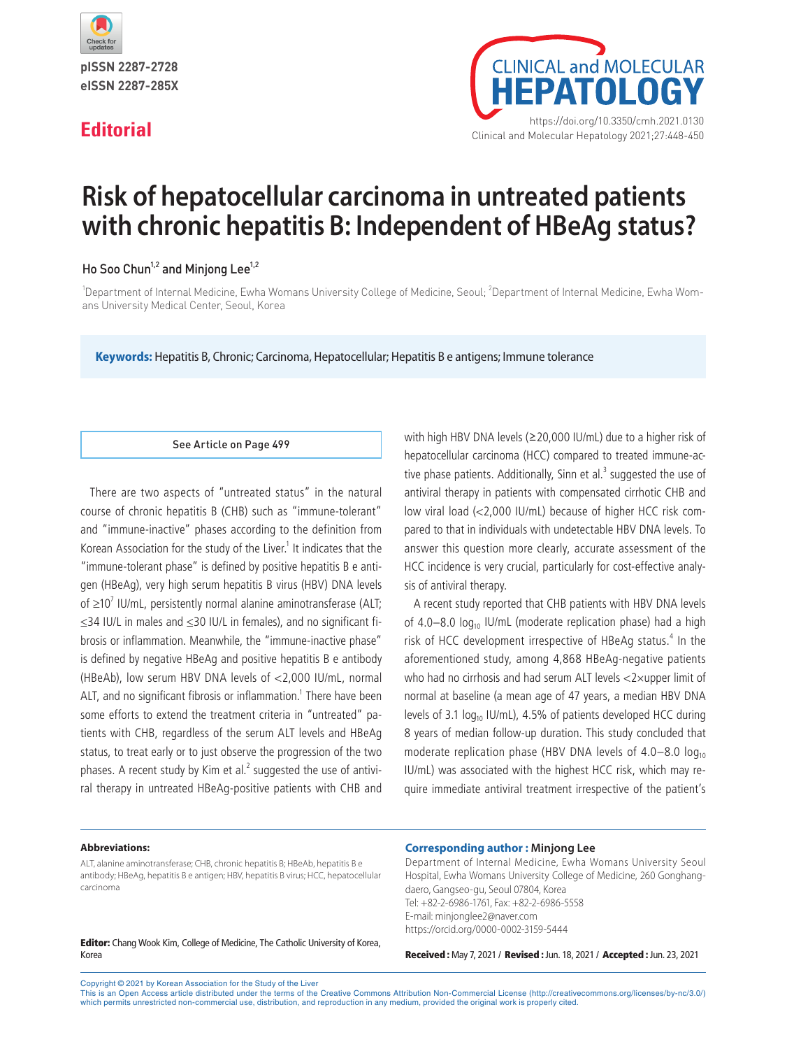

pISSN 2287-2728 eISSN 2287-285X



# **Risk of hepatocellular carcinoma in untreated patients with chronic hepatitis B: Independent of HBeAg status?**

# Ho Soo Chun<sup>1,2</sup> and Minjong Lee<sup>1,2</sup>

<sup>1</sup>Department of Internal Medicine, Ewha Womans University College of Medicine, Seoul; <sup>2</sup>Department of Internal Medicine, Ewha Womans University Medical Center, Seoul, Korea

**Keywords:** Hepatitis B, Chronic; Carcinoma, Hepatocellular; Hepatitis B e antigens; Immune tolerance

## See Article on Page 499

There are two aspects of "untreated status" in the natural course of chronic hepatitis B (CHB) such as "immune-tolerant" and "immune-inactive" phases according to the definition from Korean Association for the study of the Liver. $<sup>1</sup>$  It indicates that the</sup> "immune-tolerant phase" is defined by positive hepatitis B e antigen (HBeAg), very high serum hepatitis B virus (HBV) DNA levels of  $\geq 10^7$  IU/mL, persistently normal alanine aminotransferase (ALT; ≤34 IU/L in males and ≤30 IU/L in females), and no significant fibrosis or inflammation. Meanwhile, the "immune-inactive phase" is defined by negative HBeAg and positive hepatitis B e antibody (HBeAb), low serum HBV DNA levels of <2,000 IU/mL, normal ALT, and no significant fibrosis or inflammation.<sup>1</sup> There have been some efforts to extend the treatment criteria in "untreated" patients with CHB, regardless of the serum ALT levels and HBeAg status, to treat early or to just observe the progression of the two phases. A recent study by Kim et al.<sup>2</sup> suggested the use of antiviral therapy in untreated HBeAg-positive patients with CHB and

with high HBV DNA levels (≥20,000 IU/mL) due to a higher risk of hepatocellular carcinoma (HCC) compared to treated immune-active phase patients. Additionally, Sinn et al. $<sup>3</sup>$  suggested the use of</sup> antiviral therapy in patients with compensated cirrhotic CHB and low viral load (<2,000 IU/mL) because of higher HCC risk compared to that in individuals with undetectable HBV DNA levels. To answer this question more clearly, accurate assessment of the HCC incidence is very crucial, particularly for cost-effective analysis of antiviral therapy.

A recent study reported that CHB patients with HBV DNA levels of 4.0–8.0  $log_{10}$  IU/mL (moderate replication phase) had a high risk of HCC development irrespective of HBeAg status.<sup>4</sup> In the aforementioned study, among 4,868 HBeAg-negative patients who had no cirrhosis and had serum ALT levels <2×upper limit of normal at baseline (a mean age of 47 years, a median HBV DNA levels of 3.1 log<sub>10</sub> IU/mL), 4.5% of patients developed HCC during 8 years of median follow‐up duration. This study concluded that moderate replication phase (HBV DNA levels of  $4.0-8.0$  log<sub>10</sub> IU/mL) was associated with the highest HCC risk, which may require immediate antiviral treatment irrespective of the patient's

### **Abbreviations:**

ALT, alanine aminotransferase; CHB, chronic hepatitis B; HBeAb, hepatitis B e antibody; HBeAg, hepatitis B e antigen; HBV, hepatitis B virus; HCC, hepatocellular carcinoma

Editor: Chang Wook Kim, College of Medicine, The Catholic University of Korea, Korea

### **Corresponding author : Minjong Lee**

Department of Internal Medicine, Ewha Womans University Seoul Hospital, Ewha Womans University College of Medicine, 260 Gonghangdaero, Gangseo-gu, Seoul 07804, Korea Tel: +82-2-6986-1761, Fax: +82-2-6986-5558 E-mail: minjonglee2@naver.com https://orcid.org/0000-0002-3159-5444

Received : May 7, 2021 / Revised : Jun. 18, 2021 / Accepted : Jun. 23, 2021

Copyright © 2021 by Korean Association for the Study of the Liver

This is an Open Access article distributed under the terms of the Creative Commons Attribution Non-Commercial License (http://creativecommons.org/licenses/by-nc/3.0/) which permits unrestricted non-commercial use, distribution, and reproduction in any medium, provided the original work is properly cited.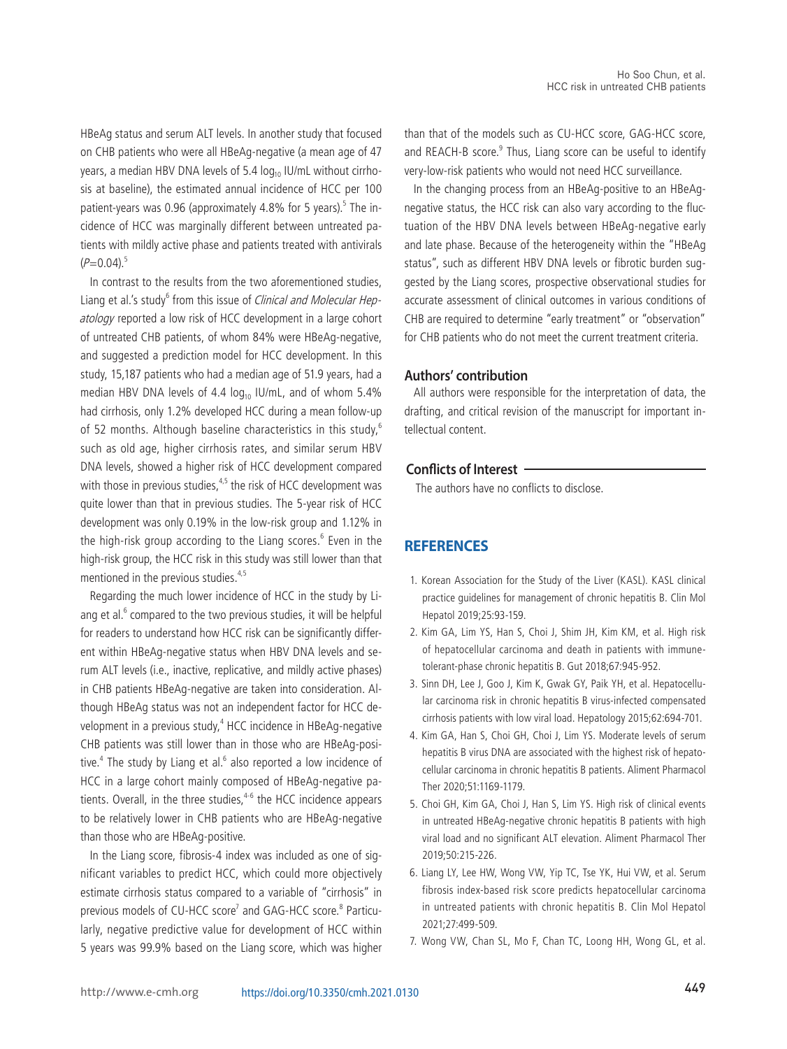HBeAg status and serum ALT levels. In another study that focused on CHB patients who were all HBeAg-negative (a mean age of 47 years, a median HBV DNA levels of 5.4  $log<sub>10</sub>$  IU/mL without cirrhosis at baseline), the estimated annual incidence of HCC per 100 patient-years was 0.96 (approximately 4.8% for 5 years).<sup>5</sup> The incidence of HCC was marginally different between untreated patients with mildly active phase and patients treated with antivirals  $(P=0.04)^5$ 

In contrast to the results from the two aforementioned studies, Liang et al.'s study<sup>6</sup> from this issue of Clinical and Molecular Hepatology reported a low risk of HCC development in a large cohort of untreated CHB patients, of whom 84% were HBeAg-negative, and suggested a prediction model for HCC development. In this study, 15,187 patients who had a median age of 51.9 years, had a median HBV DNA levels of 4.4 log<sub>10</sub> IU/mL, and of whom 5.4% had cirrhosis, only 1.2% developed HCC during a mean follow-up of 52 months. Although baseline characteristics in this study,<sup>6</sup> such as old age, higher cirrhosis rates, and similar serum HBV DNA levels, showed a higher risk of HCC development compared with those in previous studies, $4.5$  the risk of HCC development was quite lower than that in previous studies. The 5-year risk of HCC development was only 0.19% in the low-risk group and 1.12% in the high-risk group according to the Liang scores.<sup>6</sup> Even in the high-risk group, the HCC risk in this study was still lower than that mentioned in the previous studies.<sup>4,5</sup>

Regarding the much lower incidence of HCC in the study by Liang et al.<sup>6</sup> compared to the two previous studies, it will be helpful for readers to understand how HCC risk can be significantly different within HBeAg-negative status when HBV DNA levels and serum ALT levels (i.e., inactive, replicative, and mildly active phases) in CHB patients HBeAg-negative are taken into consideration. Although HBeAg status was not an independent factor for HCC development in a previous study,<sup>4</sup> HCC incidence in HBeAg-negative CHB patients was still lower than in those who are HBeAg-positive. $<sup>4</sup>$  The study by Liang et al. $<sup>6</sup>$  also reported a low incidence of</sup></sup> HCC in a large cohort mainly composed of HBeAg-negative patients. Overall, in the three studies, $4-6$  the HCC incidence appears to be relatively lower in CHB patients who are HBeAg-negative than those who are HBeAg-positive.

In the Liang score, fibrosis-4 index was included as one of significant variables to predict HCC, which could more objectively estimate cirrhosis status compared to a variable of "cirrhosis" in previous models of CU-HCC score<sup>7</sup> and GAG-HCC score.<sup>8</sup> Particularly, negative predictive value for development of HCC within 5 years was 99.9% based on the Liang score, which was higher

than that of the models such as CU-HCC score, GAG-HCC score, and REACH-B score.<sup>9</sup> Thus, Liang score can be useful to identify very-low-risk patients who would not need HCC surveillance.

In the changing process from an HBeAg-positive to an HBeAgnegative status, the HCC risk can also vary according to the fluctuation of the HBV DNA levels between HBeAg-negative early and late phase. Because of the heterogeneity within the "HBeAg status", such as different HBV DNA levels or fibrotic burden suggested by the Liang scores, prospective observational studies for accurate assessment of clinical outcomes in various conditions of CHB are required to determine "early treatment" or "observation" for CHB patients who do not meet the current treatment criteria.

# **Authors' contribution**

All authors were responsible for the interpretation of data, the drafting, and critical revision of the manuscript for important intellectual content.

# **Conflicts of Interest**

The authors have no conflicts to disclose.

# **REFERENCES**

- 1. Korean Association for the Study of the Liver (KASL). KASL clinical practice guidelines for management of chronic hepatitis B. Clin Mol Hepatol 2019;25:93-159.
- 2. Kim GA, Lim YS, Han S, Choi J, Shim JH, Kim KM, et al. High risk of hepatocellular carcinoma and death in patients with immunetolerant-phase chronic hepatitis B. Gut 2018;67:945-952.
- 3. Sinn DH, Lee J, Goo J, Kim K, Gwak GY, Paik YH, et al. Hepatocellular carcinoma risk in chronic hepatitis B virus-infected compensated cirrhosis patients with low viral load. Hepatology 2015;62:694-701.
- 4. Kim GA, Han S, Choi GH, Choi J, Lim YS. Moderate levels of serum hepatitis B virus DNA are associated with the highest risk of hepatocellular carcinoma in chronic hepatitis B patients. Aliment Pharmacol Ther 2020;51:1169-1179.
- 5. Choi GH, Kim GA, Choi J, Han S, Lim YS. High risk of clinical events in untreated HBeAg-negative chronic hepatitis B patients with high viral load and no significant ALT elevation. Aliment Pharmacol Ther 2019;50:215-226.
- 6. Liang LY, Lee HW, Wong VW, Yip TC, Tse YK, Hui VW, et al. Serum fibrosis index-based risk score predicts hepatocellular carcinoma in untreated patients with chronic hepatitis B. Clin Mol Hepatol 2021;27:499-509.
- 7. Wong VW, Chan SL, Mo F, Chan TC, Loong HH, Wong GL, et al.